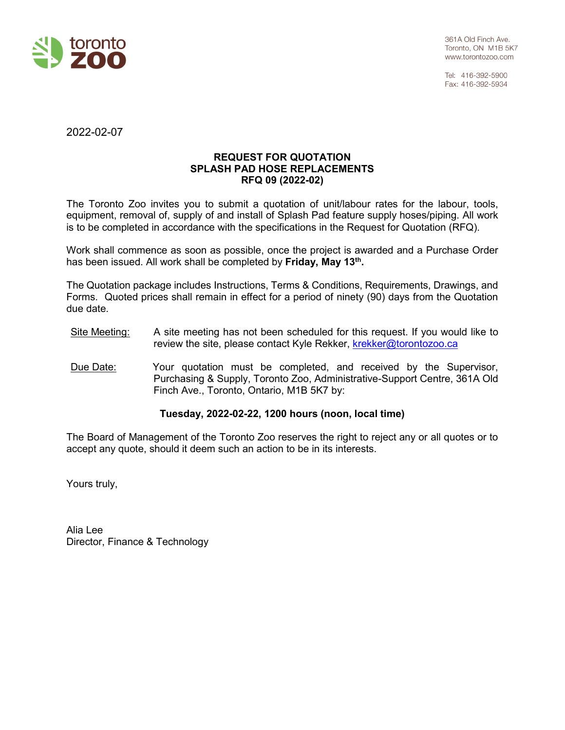

Tel: 416-392-5900 Fax: 416-392-5934

2022-02-07

# **REQUEST FOR QUOTATION SPLASH PAD HOSE REPLACEMENTS RFQ 09 (2022-02)**

The Toronto Zoo invites you to submit a quotation of unit/labour rates for the labour, tools, equipment, removal of, supply of and install of Splash Pad feature supply hoses/piping. All work is to be completed in accordance with the specifications in the Request for Quotation (RFQ).

Work shall commence as soon as possible, once the project is awarded and a Purchase Order has been issued. All work shall be completed by **Friday, May 13th.**

The Quotation package includes Instructions, Terms & Conditions, Requirements, Drawings, and Forms. Quoted prices shall remain in effect for a period of ninety (90) days from the Quotation due date.

- Site Meeting: A site meeting has not been scheduled for this request. If you would like to review the site, please contact Kyle Rekker, [krekker@torontozoo.ca](mailto:krekker@torontozoo.ca)
- Due Date: Your quotation must be completed, and received by the Supervisor, Purchasing & Supply, Toronto Zoo, Administrative-Support Centre, 361A Old Finch Ave., Toronto, Ontario, M1B 5K7 by:

# **Tuesday, 2022-02-22, 1200 hours (noon, local time)**

The Board of Management of the Toronto Zoo reserves the right to reject any or all quotes or to accept any quote, should it deem such an action to be in its interests.

Yours truly,

Alia Lee Director, Finance & Technology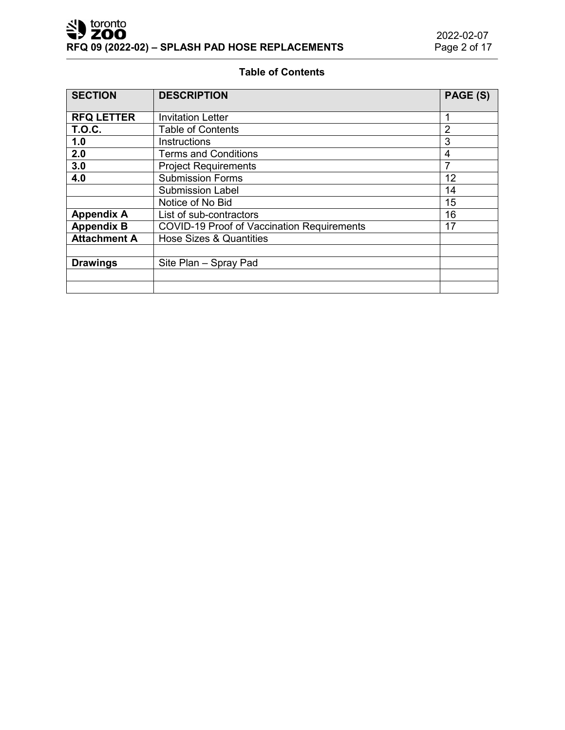# **Table of Contents**

| <b>SECTION</b>      | <b>DESCRIPTION</b>                                | PAGE (S) |
|---------------------|---------------------------------------------------|----------|
|                     |                                                   |          |
| <b>RFQ LETTER</b>   | <b>Invitation Letter</b>                          | 1        |
| <b>T.O.C.</b>       | <b>Table of Contents</b>                          | 2        |
| 1.0                 | Instructions                                      | 3        |
| 2.0                 | <b>Terms and Conditions</b>                       | 4        |
| 3.0                 | <b>Project Requirements</b>                       | 7        |
| 4.0                 | <b>Submission Forms</b>                           | 12       |
|                     | <b>Submission Label</b>                           | 14       |
|                     | Notice of No Bid                                  | 15       |
| <b>Appendix A</b>   | List of sub-contractors                           | 16       |
| <b>Appendix B</b>   | <b>COVID-19 Proof of Vaccination Requirements</b> | 17       |
| <b>Attachment A</b> | Hose Sizes & Quantities                           |          |
|                     |                                                   |          |
| <b>Drawings</b>     | Site Plan - Spray Pad                             |          |
|                     |                                                   |          |
|                     |                                                   |          |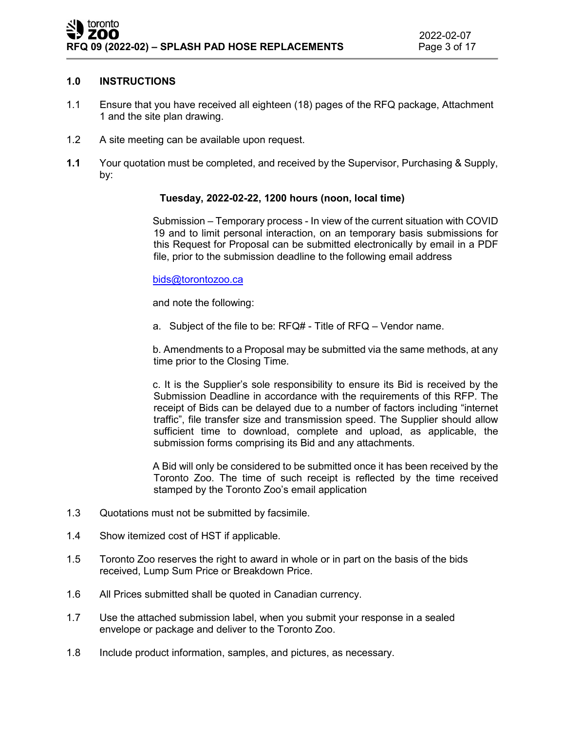# **1.0 INSTRUCTIONS**

- 1.1 Ensure that you have received all eighteen (18) pages of the RFQ package, Attachment 1 and the site plan drawing.
- 1.2 A site meeting can be available upon request.
- **1.1** Your quotation must be completed, and received by the Supervisor, Purchasing & Supply, by:

# **Tuesday, 2022-02-22, 1200 hours (noon, local time)**

Submission – Temporary process - In view of the current situation with COVID 19 and to limit personal interaction, on an temporary basis submissions for this Request for Proposal can be submitted electronically by email in a PDF file, prior to the submission deadline to the following email address

[bids@torontozoo.ca](mailto:bids@torontozoo.ca) 

and note the following:

a. Subject of the file to be: RFQ# - Title of RFQ – Vendor name.

b. Amendments to a Proposal may be submitted via the same methods, at any time prior to the Closing Time.

c. It is the Supplier's sole responsibility to ensure its Bid is received by the Submission Deadline in accordance with the requirements of this RFP. The receipt of Bids can be delayed due to a number of factors including "internet traffic", file transfer size and transmission speed. The Supplier should allow sufficient time to download, complete and upload, as applicable, the submission forms comprising its Bid and any attachments.

A Bid will only be considered to be submitted once it has been received by the Toronto Zoo. The time of such receipt is reflected by the time received stamped by the Toronto Zoo's email application

- 1.3 Quotations must not be submitted by facsimile.
- 1.4 Show itemized cost of HST if applicable.
- 1.5 Toronto Zoo reserves the right to award in whole or in part on the basis of the bids received, Lump Sum Price or Breakdown Price.
- 1.6 All Prices submitted shall be quoted in Canadian currency.
- 1.7 Use the attached submission label, when you submit your response in a sealed envelope or package and deliver to the Toronto Zoo.
- 1.8 Include product information, samples, and pictures, as necessary.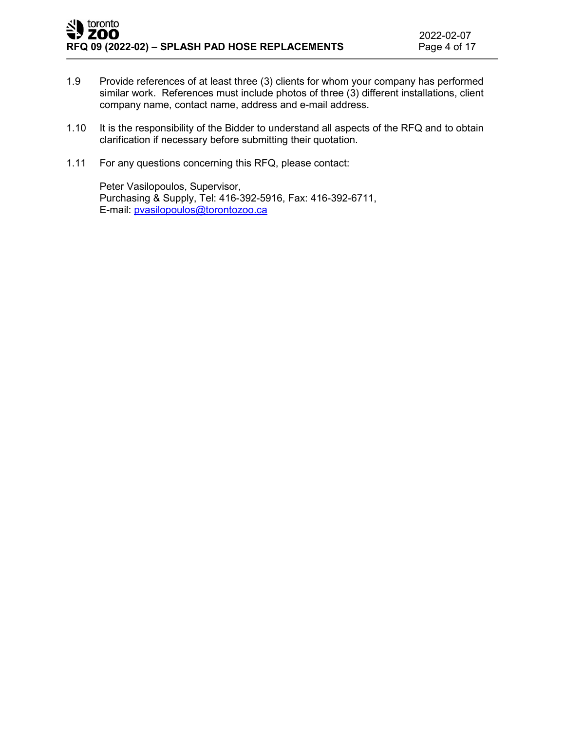- 1.9 Provide references of at least three (3) clients for whom your company has performed similar work. References must include photos of three (3) different installations, client company name, contact name, address and e-mail address.
- 1.10 It is the responsibility of the Bidder to understand all aspects of the RFQ and to obtain clarification if necessary before submitting their quotation.
- 1.11 For any questions concerning this RFQ, please contact:

Peter Vasilopoulos, Supervisor, Purchasing & Supply, Tel: 416-392-5916, Fax: 416-392-6711, E-mail: [pvasilopoulos@torontozoo.ca](mailto:pvasilopoulos@torontozoo.ca)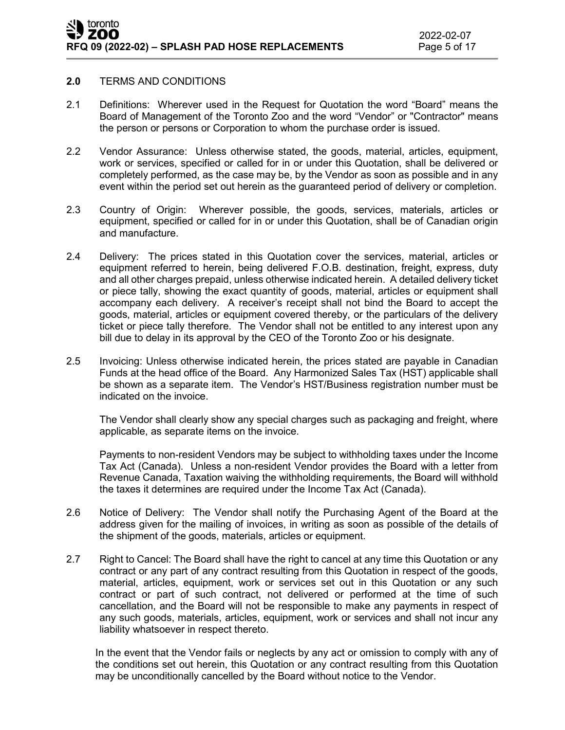#### **2.0** TERMS AND CONDITIONS

- 2.1 Definitions: Wherever used in the Request for Quotation the word "Board" means the Board of Management of the Toronto Zoo and the word "Vendor" or "Contractor" means the person or persons or Corporation to whom the purchase order is issued.
- 2.2 Vendor Assurance: Unless otherwise stated, the goods, material, articles, equipment, work or services, specified or called for in or under this Quotation, shall be delivered or completely performed, as the case may be, by the Vendor as soon as possible and in any event within the period set out herein as the guaranteed period of delivery or completion.
- 2.3 Country of Origin: Wherever possible, the goods, services, materials, articles or equipment, specified or called for in or under this Quotation, shall be of Canadian origin and manufacture.
- 2.4 Delivery: The prices stated in this Quotation cover the services, material, articles or equipment referred to herein, being delivered F.O.B. destination, freight, express, duty and all other charges prepaid, unless otherwise indicated herein. A detailed delivery ticket or piece tally, showing the exact quantity of goods, material, articles or equipment shall accompany each delivery. A receiver's receipt shall not bind the Board to accept the goods, material, articles or equipment covered thereby, or the particulars of the delivery ticket or piece tally therefore. The Vendor shall not be entitled to any interest upon any bill due to delay in its approval by the CEO of the Toronto Zoo or his designate.
- 2.5 Invoicing: Unless otherwise indicated herein, the prices stated are payable in Canadian Funds at the head office of the Board. Any Harmonized Sales Tax (HST) applicable shall be shown as a separate item. The Vendor's HST/Business registration number must be indicated on the invoice.

The Vendor shall clearly show any special charges such as packaging and freight, where applicable, as separate items on the invoice.

Payments to non-resident Vendors may be subject to withholding taxes under the Income Tax Act (Canada). Unless a non-resident Vendor provides the Board with a letter from Revenue Canada, Taxation waiving the withholding requirements, the Board will withhold the taxes it determines are required under the Income Tax Act (Canada).

- 2.6 Notice of Delivery: The Vendor shall notify the Purchasing Agent of the Board at the address given for the mailing of invoices, in writing as soon as possible of the details of the shipment of the goods, materials, articles or equipment.
- 2.7 Right to Cancel: The Board shall have the right to cancel at any time this Quotation or any contract or any part of any contract resulting from this Quotation in respect of the goods, material, articles, equipment, work or services set out in this Quotation or any such contract or part of such contract, not delivered or performed at the time of such cancellation, and the Board will not be responsible to make any payments in respect of any such goods, materials, articles, equipment, work or services and shall not incur any liability whatsoever in respect thereto.

In the event that the Vendor fails or neglects by any act or omission to comply with any of the conditions set out herein, this Quotation or any contract resulting from this Quotation may be unconditionally cancelled by the Board without notice to the Vendor.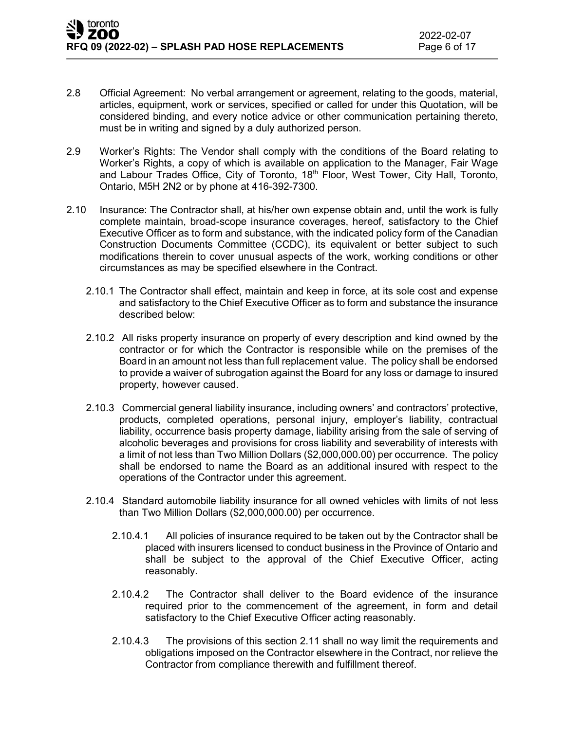- 2.8 Official Agreement: No verbal arrangement or agreement, relating to the goods, material, articles, equipment, work or services, specified or called for under this Quotation, will be considered binding, and every notice advice or other communication pertaining thereto, must be in writing and signed by a duly authorized person.
- 2.9 Worker's Rights: The Vendor shall comply with the conditions of the Board relating to Worker's Rights, a copy of which is available on application to the Manager, Fair Wage and Labour Trades Office, City of Toronto, 18<sup>th</sup> Floor, West Tower, City Hall, Toronto, Ontario, M5H 2N2 or by phone at 416-392-7300.
- 2.10 Insurance: The Contractor shall, at his/her own expense obtain and, until the work is fully complete maintain, broad-scope insurance coverages, hereof, satisfactory to the Chief Executive Officer as to form and substance, with the indicated policy form of the Canadian Construction Documents Committee (CCDC), its equivalent or better subject to such modifications therein to cover unusual aspects of the work, working conditions or other circumstances as may be specified elsewhere in the Contract.
	- 2.10.1 The Contractor shall effect, maintain and keep in force, at its sole cost and expense and satisfactory to the Chief Executive Officer as to form and substance the insurance described below:
	- 2.10.2 All risks property insurance on property of every description and kind owned by the contractor or for which the Contractor is responsible while on the premises of the Board in an amount not less than full replacement value. The policy shall be endorsed to provide a waiver of subrogation against the Board for any loss or damage to insured property, however caused.
	- 2.10.3 Commercial general liability insurance, including owners' and contractors' protective, products, completed operations, personal injury, employer's liability, contractual liability, occurrence basis property damage, liability arising from the sale of serving of alcoholic beverages and provisions for cross liability and severability of interests with a limit of not less than Two Million Dollars (\$2,000,000.00) per occurrence. The policy shall be endorsed to name the Board as an additional insured with respect to the operations of the Contractor under this agreement.
	- 2.10.4 Standard automobile liability insurance for all owned vehicles with limits of not less than Two Million Dollars (\$2,000,000.00) per occurrence.
		- 2.10.4.1 All policies of insurance required to be taken out by the Contractor shall be placed with insurers licensed to conduct business in the Province of Ontario and shall be subject to the approval of the Chief Executive Officer, acting reasonably.
		- 2.10.4.2 The Contractor shall deliver to the Board evidence of the insurance required prior to the commencement of the agreement, in form and detail satisfactory to the Chief Executive Officer acting reasonably.
		- 2.10.4.3 The provisions of this section 2.11 shall no way limit the requirements and obligations imposed on the Contractor elsewhere in the Contract, nor relieve the Contractor from compliance therewith and fulfillment thereof.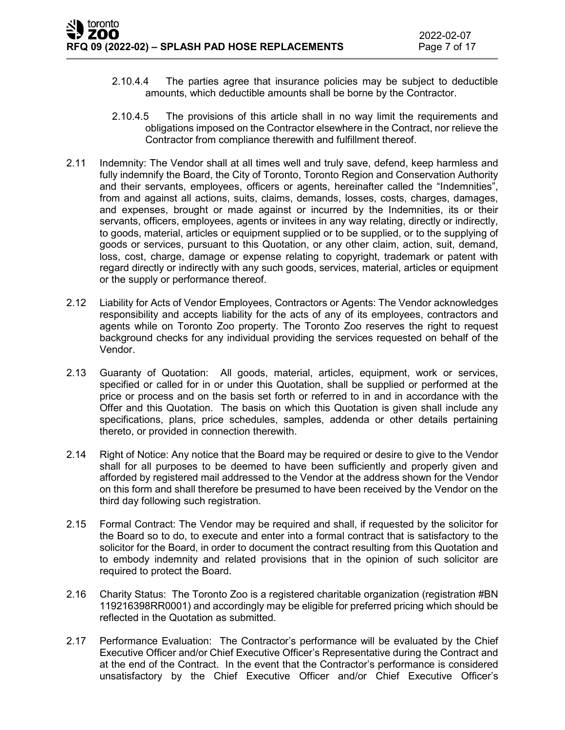- 2.10.4.4 The parties agree that insurance policies may be subject to deductible amounts, which deductible amounts shall be borne by the Contractor.
- 2.10.4.5 The provisions of this article shall in no way limit the requirements and obligations imposed on the Contractor elsewhere in the Contract, nor relieve the Contractor from compliance therewith and fulfillment thereof.
- 2.11 Indemnity: The Vendor shall at all times well and truly save, defend, keep harmless and fully indemnify the Board, the City of Toronto, Toronto Region and Conservation Authority and their servants, employees, officers or agents, hereinafter called the "Indemnities", from and against all actions, suits, claims, demands, losses, costs, charges, damages, and expenses, brought or made against or incurred by the Indemnities, its or their servants, officers, employees, agents or invitees in any way relating, directly or indirectly, to goods, material, articles or equipment supplied or to be supplied, or to the supplying of goods or services, pursuant to this Quotation, or any other claim, action, suit, demand, loss, cost, charge, damage or expense relating to copyright, trademark or patent with regard directly or indirectly with any such goods, services, material, articles or equipment or the supply or performance thereof.
- 2.12 Liability for Acts of Vendor Employees, Contractors or Agents: The Vendor acknowledges responsibility and accepts liability for the acts of any of its employees, contractors and agents while on Toronto Zoo property. The Toronto Zoo reserves the right to request background checks for any individual providing the services requested on behalf of the Vendor.
- 2.13 Guaranty of Quotation: All goods, material, articles, equipment, work or services, specified or called for in or under this Quotation, shall be supplied or performed at the price or process and on the basis set forth or referred to in and in accordance with the Offer and this Quotation. The basis on which this Quotation is given shall include any specifications, plans, price schedules, samples, addenda or other details pertaining thereto, or provided in connection therewith.
- 2.14 Right of Notice: Any notice that the Board may be required or desire to give to the Vendor shall for all purposes to be deemed to have been sufficiently and properly given and afforded by registered mail addressed to the Vendor at the address shown for the Vendor on this form and shall therefore be presumed to have been received by the Vendor on the third day following such registration.
- 2.15 Formal Contract: The Vendor may be required and shall, if requested by the solicitor for the Board so to do, to execute and enter into a formal contract that is satisfactory to the solicitor for the Board, in order to document the contract resulting from this Quotation and to embody indemnity and related provisions that in the opinion of such solicitor are required to protect the Board.
- 2.16 Charity Status: The Toronto Zoo is a registered charitable organization (registration #BN 119216398RR0001) and accordingly may be eligible for preferred pricing which should be reflected in the Quotation as submitted.
- 2.17 Performance Evaluation: The Contractor's performance will be evaluated by the Chief Executive Officer and/or Chief Executive Officer's Representative during the Contract and at the end of the Contract. In the event that the Contractor's performance is considered unsatisfactory by the Chief Executive Officer and/or Chief Executive Officer's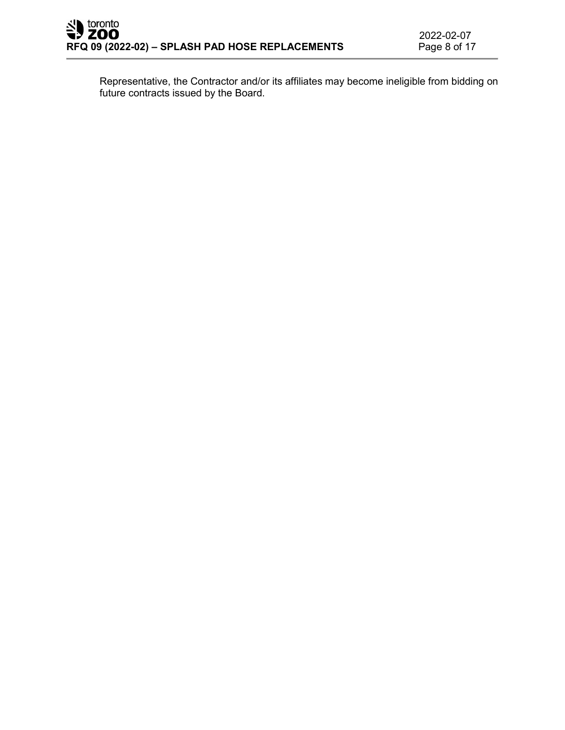Representative, the Contractor and/or its affiliates may become ineligible from bidding on future contracts issued by the Board.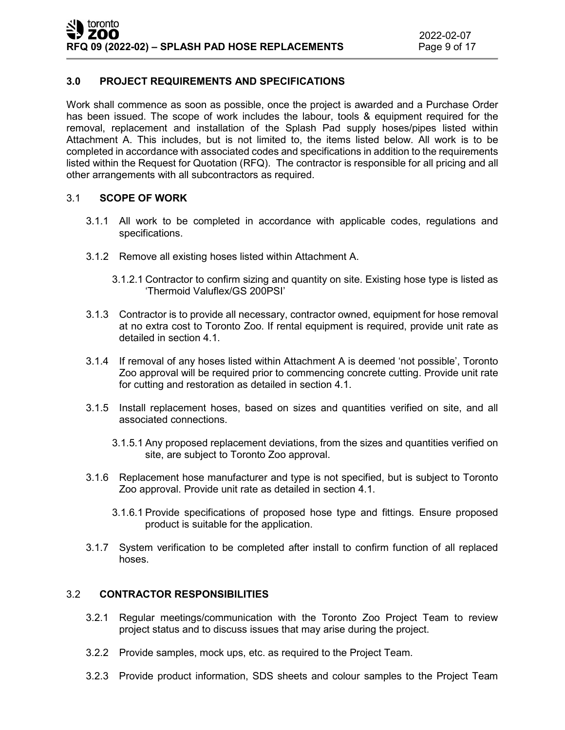# **3.0 PROJECT REQUIREMENTS AND SPECIFICATIONS**

Work shall commence as soon as possible, once the project is awarded and a Purchase Order has been issued. The scope of work includes the labour, tools & equipment required for the removal, replacement and installation of the Splash Pad supply hoses/pipes listed within Attachment A. This includes, but is not limited to, the items listed below. All work is to be completed in accordance with associated codes and specifications in addition to the requirements listed within the Request for Quotation (RFQ). The contractor is responsible for all pricing and all other arrangements with all subcontractors as required.

### 3.1 **SCOPE OF WORK**

- 3.1.1 All work to be completed in accordance with applicable codes, regulations and specifications.
- 3.1.2 Remove all existing hoses listed within Attachment A.
	- 3.1.2.1 Contractor to confirm sizing and quantity on site. Existing hose type is listed as 'Thermoid Valuflex/GS 200PSI'
- 3.1.3 Contractor is to provide all necessary, contractor owned, equipment for hose removal at no extra cost to Toronto Zoo. If rental equipment is required, provide unit rate as detailed in section 4.1.
- 3.1.4 If removal of any hoses listed within Attachment A is deemed 'not possible', Toronto Zoo approval will be required prior to commencing concrete cutting. Provide unit rate for cutting and restoration as detailed in section 4.1.
- 3.1.5 Install replacement hoses, based on sizes and quantities verified on site, and all associated connections.
	- 3.1.5.1 Any proposed replacement deviations, from the sizes and quantities verified on site, are subject to Toronto Zoo approval.
- 3.1.6 Replacement hose manufacturer and type is not specified, but is subject to Toronto Zoo approval. Provide unit rate as detailed in section 4.1.
	- 3.1.6.1 Provide specifications of proposed hose type and fittings. Ensure proposed product is suitable for the application.
- 3.1.7 System verification to be completed after install to confirm function of all replaced hoses.

# 3.2 **CONTRACTOR RESPONSIBILITIES**

- 3.2.1 Regular meetings/communication with the Toronto Zoo Project Team to review project status and to discuss issues that may arise during the project.
- 3.2.2 Provide samples, mock ups, etc. as required to the Project Team.
- 3.2.3 Provide product information, SDS sheets and colour samples to the Project Team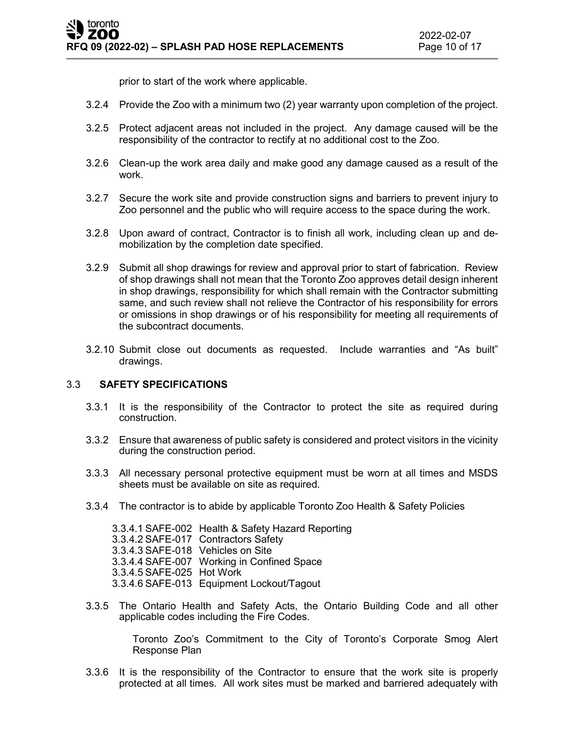prior to start of the work where applicable.

- 3.2.4 Provide the Zoo with a minimum two (2) year warranty upon completion of the project.
- 3.2.5 Protect adjacent areas not included in the project. Any damage caused will be the responsibility of the contractor to rectify at no additional cost to the Zoo.
- 3.2.6 Clean-up the work area daily and make good any damage caused as a result of the work.
- 3.2.7 Secure the work site and provide construction signs and barriers to prevent injury to Zoo personnel and the public who will require access to the space during the work.
- 3.2.8 Upon award of contract, Contractor is to finish all work, including clean up and demobilization by the completion date specified.
- 3.2.9 Submit all shop drawings for review and approval prior to start of fabrication. Review of shop drawings shall not mean that the Toronto Zoo approves detail design inherent in shop drawings, responsibility for which shall remain with the Contractor submitting same, and such review shall not relieve the Contractor of his responsibility for errors or omissions in shop drawings or of his responsibility for meeting all requirements of the subcontract documents.
- 3.2.10 Submit close out documents as requested. Include warranties and "As built" drawings.

### 3.3 **SAFETY SPECIFICATIONS**

- 3.3.1 It is the responsibility of the Contractor to protect the site as required during construction.
- 3.3.2 Ensure that awareness of public safety is considered and protect visitors in the vicinity during the construction period.
- 3.3.3 All necessary personal protective equipment must be worn at all times and MSDS sheets must be available on site as required.
- 3.3.4 The contractor is to abide by applicable Toronto Zoo Health & Safety Policies

3.3.4.1 SAFE-002 Health & Safety Hazard Reporting 3.3.4.2 SAFE-017 Contractors Safety 3.3.4.3 SAFE-018 Vehicles on Site 3.3.4.4 SAFE-007 Working in Confined Space 3.3.4.5 SAFE-025 Hot Work 3.3.4.6 SAFE-013 Equipment Lockout/Tagout

3.3.5 The Ontario Health and Safety Acts, the Ontario Building Code and all other applicable codes including the Fire Codes.

> Toronto Zoo's Commitment to the City of Toronto's Corporate Smog Alert Response Plan

3.3.6 It is the responsibility of the Contractor to ensure that the work site is properly protected at all times. All work sites must be marked and barriered adequately with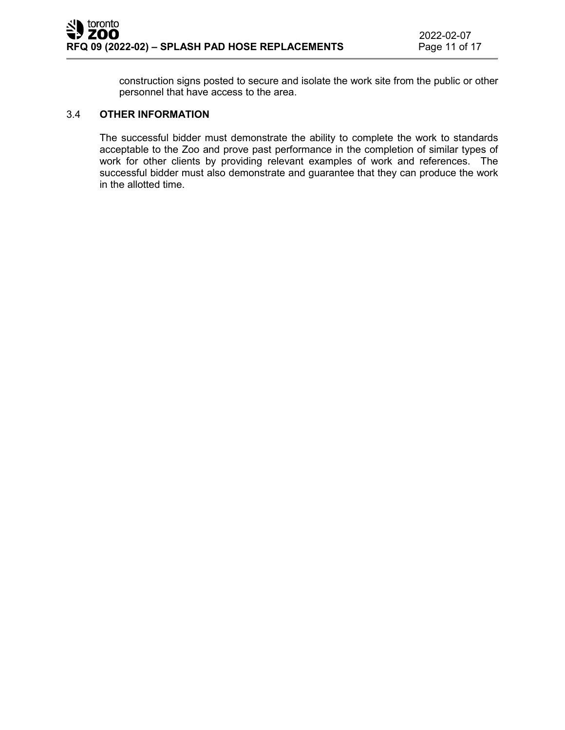construction signs posted to secure and isolate the work site from the public or other personnel that have access to the area.

### 3.4 **OTHER INFORMATION**

The successful bidder must demonstrate the ability to complete the work to standards acceptable to the Zoo and prove past performance in the completion of similar types of work for other clients by providing relevant examples of work and references. The successful bidder must also demonstrate and guarantee that they can produce the work in the allotted time.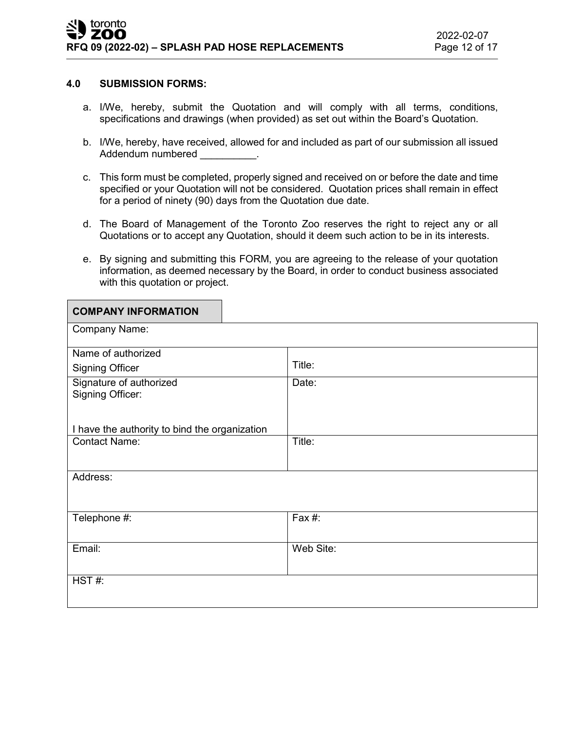#### **4.0 SUBMISSION FORMS:**

- a. I/We, hereby, submit the Quotation and will comply with all terms, conditions, specifications and drawings (when provided) as set out within the Board's Quotation.
- b. I/We, hereby, have received, allowed for and included as part of our submission all issued Addendum numbered example and the set of the set of the set of the set of the set of the set of the set of the
- c. This form must be completed, properly signed and received on or before the date and time specified or your Quotation will not be considered. Quotation prices shall remain in effect for a period of ninety (90) days from the Quotation due date.
- d. The Board of Management of the Toronto Zoo reserves the right to reject any or all Quotations or to accept any Quotation, should it deem such action to be in its interests.
- e. By signing and submitting this FORM, you are agreeing to the release of your quotation information, as deemed necessary by the Board, in order to conduct business associated with this quotation or project.

| <b>COMPANY INFORMATION</b>                         |           |
|----------------------------------------------------|-----------|
| Company Name:                                      |           |
| Name of authorized                                 |           |
| <b>Signing Officer</b>                             | Title:    |
| Signature of authorized<br><b>Signing Officer:</b> | Date:     |
| I have the authority to bind the organization      |           |
| <b>Contact Name:</b>                               | Title:    |
| Address:                                           |           |
| Telephone #:                                       | Fax #:    |
| Email:                                             | Web Site: |
| HST#:                                              |           |
|                                                    |           |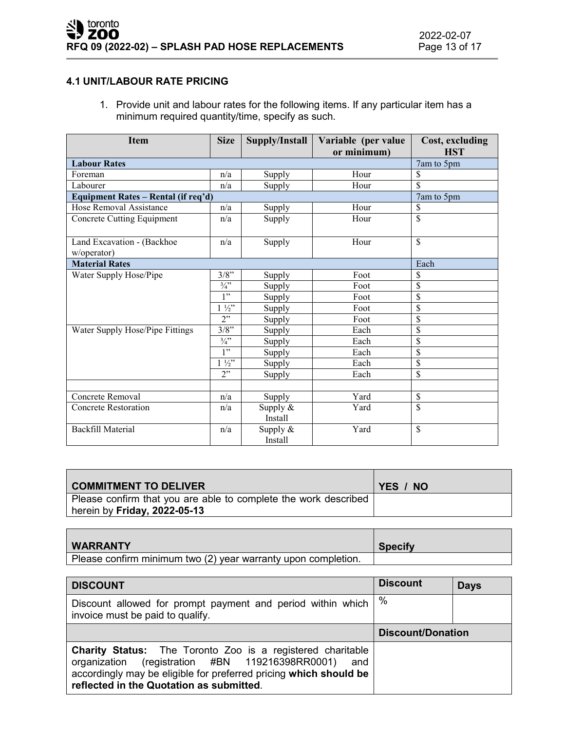# **4.1 UNIT/LABOUR RATE PRICING**

1. Provide unit and labour rates for the following items. If any particular item has a minimum required quantity/time, specify as such.

| <b>Item</b>                         | <b>Size</b>    | Supply/Install | Variable (per value<br>or minimum) | Cost, excluding<br><b>HST</b> |
|-------------------------------------|----------------|----------------|------------------------------------|-------------------------------|
| <b>Labour Rates</b>                 |                |                |                                    | 7am to 5pm                    |
| Foreman                             | n/a            | Supply         | Hour                               | \$                            |
| Labourer                            | n/a            | Supply         | Hour                               | \$                            |
| Equipment Rates - Rental (if req'd) |                |                |                                    | 7am to 5pm                    |
| Hose Removal Assistance             | n/a            | Supply         | Hour                               | \$                            |
| Concrete Cutting Equipment          | n/a            | Supply         | Hour                               | \$                            |
|                                     |                |                |                                    |                               |
| Land Excavation - (Backhoe          | n/a            | Supply         | Hour                               | \$                            |
| w/operator)                         |                |                |                                    |                               |
| <b>Material Rates</b>               |                |                |                                    | Each                          |
| Water Supply Hose/Pipe              | $3/8$ "        | Supply         | Foot                               | \$                            |
|                                     | $\frac{3}{4}$  | Supply         | Foot                               | \$                            |
|                                     | 1"             | Supply         | Foot                               | \$                            |
|                                     | $1\frac{1}{2}$ | Supply         | Foot                               | \$                            |
|                                     | 2"             | Supply         | Foot                               | \$                            |
| Water Supply Hose/Pipe Fittings     | $3/8$ "        | Supply         | Each                               | \$                            |
|                                     | $\frac{3}{4}$  | Supply         | Each                               | \$                            |
|                                     | 1"             | Supply         | Each                               | \$                            |
|                                     | $1\frac{1}{2}$ | Supply         | Each                               | \$                            |
|                                     | 2"             | Supply         | Each                               | \$                            |
|                                     |                |                |                                    |                               |
| Concrete Removal                    | n/a            | Supply         | Yard                               | \$                            |
| <b>Concrete Restoration</b>         | n/a            | Supply $&$     | Yard                               | \$                            |
|                                     |                | Install        |                                    |                               |
| Backfill Material                   | n/a            | Supply $&$     | Yard                               | \$                            |
|                                     |                | Install        |                                    |                               |

| <b>COMMITMENT TO DELIVER</b>                                                                           | YES / NO |
|--------------------------------------------------------------------------------------------------------|----------|
| Please confirm that you are able to complete the work described<br>herein by <b>Friday, 2022-05-13</b> |          |

| <b>WARRANTY</b>                                               | <b>Specify</b> |
|---------------------------------------------------------------|----------------|
| Please confirm minimum two (2) year warranty upon completion. |                |

| <b>DISCOUNT</b>                                                                                                                                                                                                                              | <b>Discount</b>          | <b>Days</b> |
|----------------------------------------------------------------------------------------------------------------------------------------------------------------------------------------------------------------------------------------------|--------------------------|-------------|
| Discount allowed for prompt payment and period within which<br>invoice must be paid to qualify.                                                                                                                                              | $\%$                     |             |
|                                                                                                                                                                                                                                              | <b>Discount/Donation</b> |             |
| <b>Charity Status:</b> The Toronto Zoo is a registered charitable<br>(registration #BN 119216398RR0001) and<br>organization<br>accordingly may be eligible for preferred pricing which should be<br>reflected in the Quotation as submitted. |                          |             |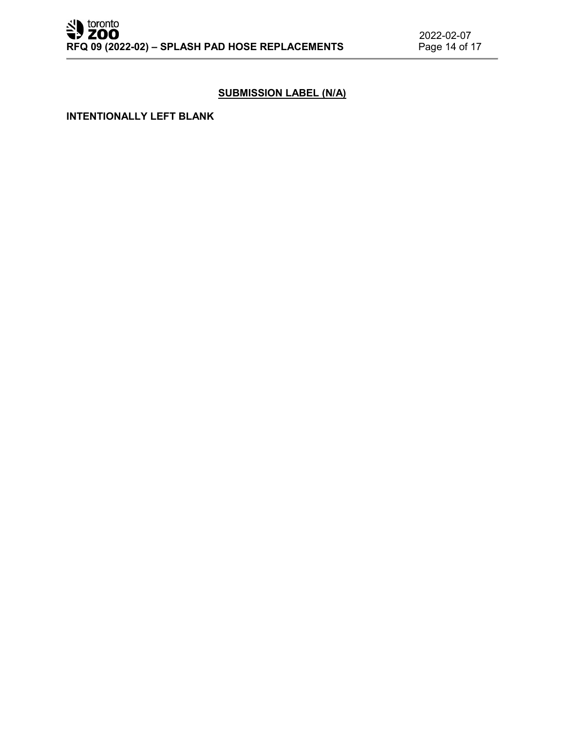# **SUBMISSION LABEL (N/A)**

#### **INTENTIONALLY LEFT BLANK**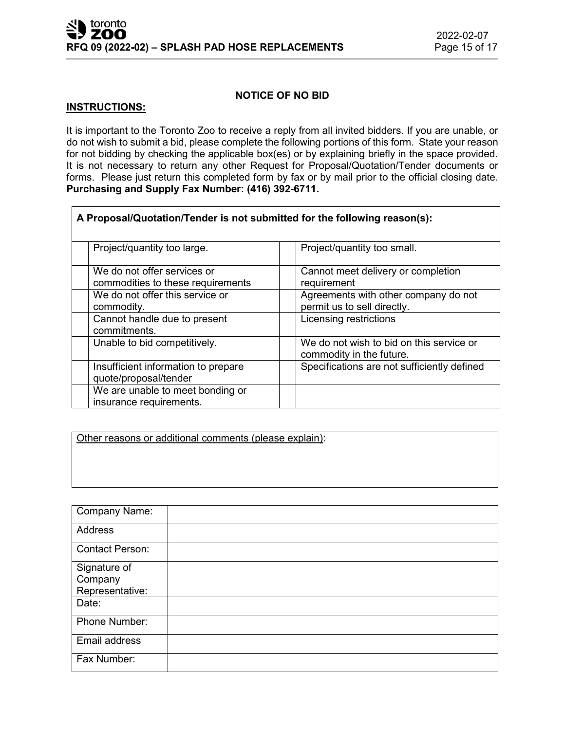### **NOTICE OF NO BID**

### **INSTRUCTIONS:**

It is important to the Toronto Zoo to receive a reply from all invited bidders. If you are unable, or do not wish to submit a bid, please complete the following portions of this form. State your reason for not bidding by checking the applicable box(es) or by explaining briefly in the space provided. It is not necessary to return any other Request for Proposal/Quotation/Tender documents or forms. Please just return this completed form by fax or by mail prior to the official closing date. **Purchasing and Supply Fax Number: (416) 392-6711.**

| A Proposal/Quotation/Tender is not submitted for the following reason(s): |                                                                      |
|---------------------------------------------------------------------------|----------------------------------------------------------------------|
| Project/quantity too large.                                               | Project/quantity too small.                                          |
| We do not offer services or<br>commodities to these requirements          | Cannot meet delivery or completion<br>requirement                    |
| We do not offer this service or<br>commodity.                             | Agreements with other company do not<br>permit us to sell directly.  |
| Cannot handle due to present<br>commitments.                              | Licensing restrictions                                               |
| Unable to bid competitively.                                              | We do not wish to bid on this service or<br>commodity in the future. |
| Insufficient information to prepare<br>quote/proposal/tender              | Specifications are not sufficiently defined                          |
| We are unable to meet bonding or<br>insurance requirements.               |                                                                      |

Other reasons or additional comments (please explain):

| <b>Company Name:</b>   |  |
|------------------------|--|
| Address                |  |
| <b>Contact Person:</b> |  |
| Signature of           |  |
| Company                |  |
| Representative:        |  |
| Date:                  |  |
| Phone Number:          |  |
| Email address          |  |
| Fax Number:            |  |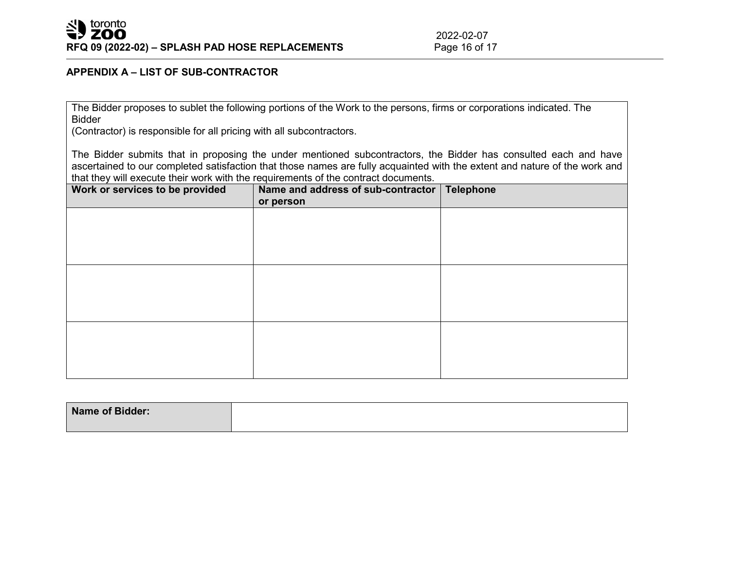# **APPENDIX A – LIST OF SUB-CONTRACTOR**

The Bidder proposes to sublet the following portions of the Work to the persons, firms or corporations indicated. The Bidder

(Contractor) is responsible for all pricing with all subcontractors.

The Bidder submits that in proposing the under mentioned subcontractors, the Bidder has consulted each and have ascertained to our completed satisfaction that those names are fully acquainted with the extent and nature of the work and that they will execute their work with the requirements of the contract documents.

| Work or services to be provided | Name and address of sub-contractor<br>or person | <b>Telephone</b> |
|---------------------------------|-------------------------------------------------|------------------|
|                                 |                                                 |                  |
|                                 |                                                 |                  |
|                                 |                                                 |                  |
|                                 |                                                 |                  |
|                                 |                                                 |                  |
|                                 |                                                 |                  |
|                                 |                                                 |                  |

| Name of Bidder: |  |
|-----------------|--|
|                 |  |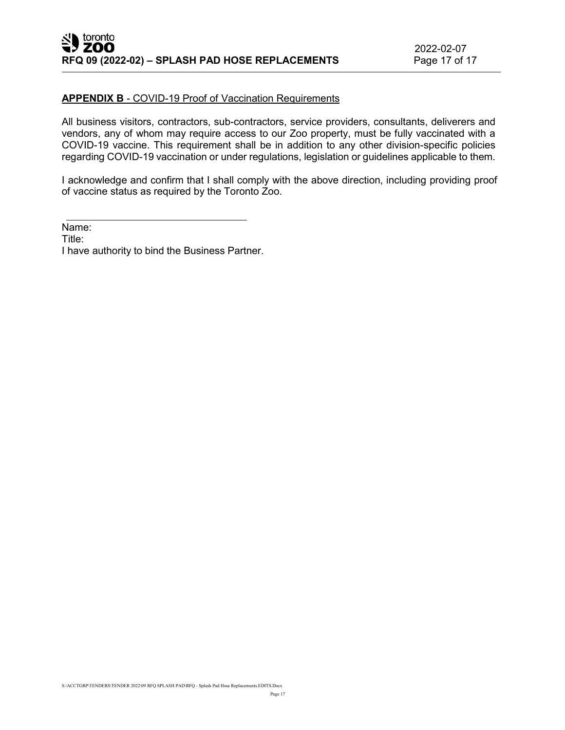#### **APPENDIX B** - COVID-19 Proof of Vaccination Requirements

All business visitors, contractors, sub-contractors, service providers, consultants, deliverers and vendors, any of whom may require access to our Zoo property, must be fully vaccinated with a COVID-19 vaccine. This requirement shall be in addition to any other division-specific policies regarding COVID-19 vaccination or under regulations, legislation or guidelines applicable to them.

I acknowledge and confirm that I shall comply with the above direction, including providing proof of vaccine status as required by the Toronto Zoo.

Name:

Title:

I have authority to bind the Business Partner.